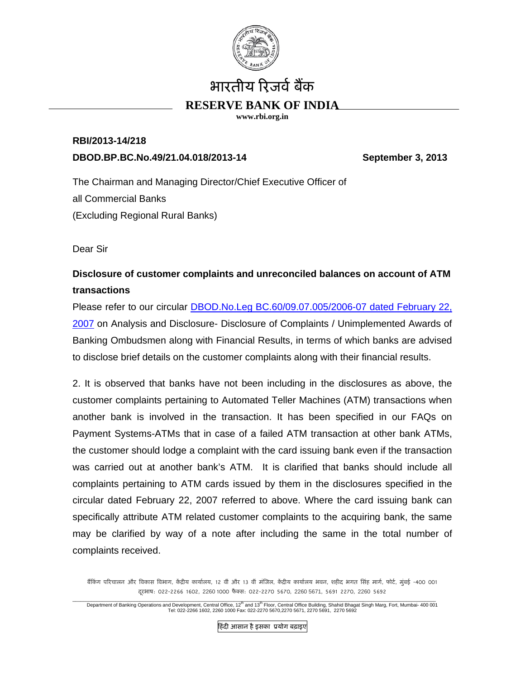

## भारतीय रिजर्व बैंक

## **RESERVE BANK OF INDIA**

**www.rbi.org.in** 

## **RBI/2013-14/218 DBOD.BP.BC.No.49/21.04.018/2013-14 September 3, 2013**

The Chairman and Managing Director/Chief Executive Officer of all Commercial Banks (Excluding Regional Rural Banks)

Dear Sir

## **Disclosure of customer complaints and unreconciled balances on account of ATM transactions**

Please refer to our circular DBOD.No.Leg BC.60/09.07.005/2006-07 dated February 22, 2007 on Analysis and Disclosure- Disclosure of Complaints / Unimplemented Awards of Banking Ombudsmen along with Financial Results, in terms of which banks are advised to disclose brief details on the customer complaints along with their financial results.

2. It is observed that banks have not been including in the disclosures as above, the customer complaints pertaining to Automated Teller Machines (ATM) transactions when another bank is involved in the transaction. It has been specified in our FAQs on Payment Systems-ATMs that in case of a failed ATM transaction at other bank ATMs, the customer should lodge a complaint with the card issuing bank even if the transaction was carried out at another bank's ATM. It is clarified that banks should include all complaints pertaining to ATM cards issued by them in the disclosures specified in the circular dated February 22, 2007 referred to above. Where the card issuing bank can specifically attribute ATM related customer complaints to the acquiring bank, the same may be clarified by way of a note after including the same in the total number of complaints received.

बैंकिंग परिचालन और विकास विभाग, केंदीय कार्यालय, 12 वीं और 13 वीं मंजिल, केंदीय कार्यालय भवन, शहीद भगत सिंह मार्ग, फोर्ट, मंबई -400 001 दरभाष ू : 022-2266 1602, 2260 1000 फैक्स: 022-2270 5670, 2260 5671, 5691 2270, 2260 5692

Department of Banking Operations and Development, Central Office, 12<sup>th</sup> and 13<sup>th</sup> Floor, Central Office Building, Shahid Bhagat Singh Marg, Fort, Mumbai- 400 001<br>Tel: 022-2266 1602, 2260 1000 Fax: 022-270 5670,2270 5671,

िहंदी आसान हैइसका ूयोग बढ़ाइए